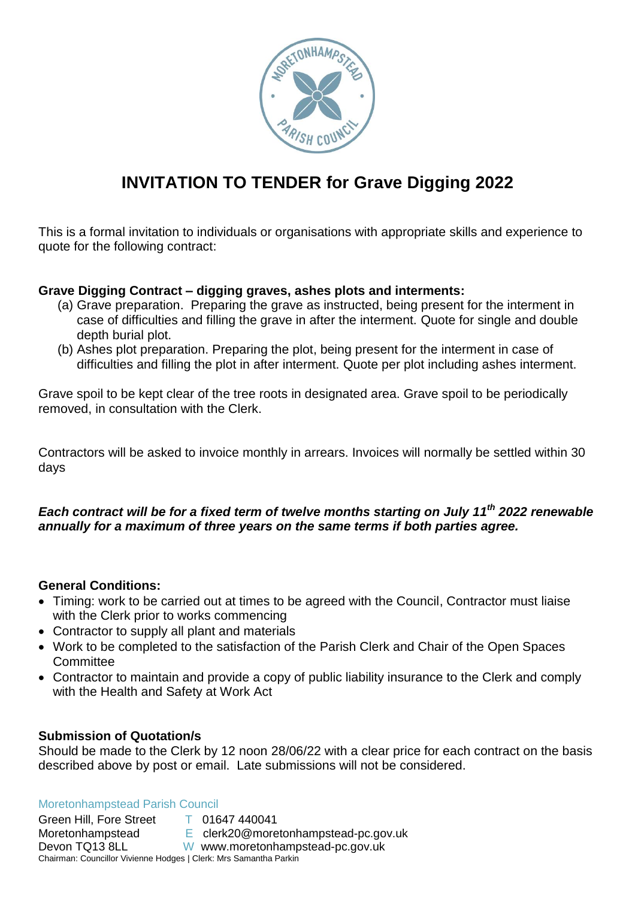

# **INVITATION TO TENDER for Grave Digging 2022**

This is a formal invitation to individuals or organisations with appropriate skills and experience to quote for the following contract:

# **Grave Digging Contract – digging graves, ashes plots and interments:**

- (a) Grave preparation. Preparing the grave as instructed, being present for the interment in case of difficulties and filling the grave in after the interment. Quote for single and double depth burial plot.
- (b) Ashes plot preparation. Preparing the plot, being present for the interment in case of difficulties and filling the plot in after interment. Quote per plot including ashes interment.

Grave spoil to be kept clear of the tree roots in designated area. Grave spoil to be periodically removed, in consultation with the Clerk.

Contractors will be asked to invoice monthly in arrears. Invoices will normally be settled within 30 days

# *Each contract will be for a fixed term of twelve months starting on July 11 th 2022 renewable annually for a maximum of three years on the same terms if both parties agree.*

### **General Conditions:**

- Timing: work to be carried out at times to be agreed with the Council, Contractor must liaise with the Clerk prior to works commencing
- Contractor to supply all plant and materials
- Work to be completed to the satisfaction of the Parish Clerk and Chair of the Open Spaces **Committee**
- Contractor to maintain and provide a copy of public liability insurance to the Clerk and comply with the Health and Safety at Work Act

### **Submission of Quotation/s**

Should be made to the Clerk by 12 noon 28/06/22 with a clear price for each contract on the basis described above by post or email. Late submissions will not be considered.

#### Moretonhampstead Parish Council

Green Hill, Fore Street T 01647 440041 Moretonhampstead E clerk20@moretonhampstead-pc.gov.uk Devon TQ13 8LL W www.moretonhampstead-pc.gov.uk Chairman: Councillor Vivienne Hodges | Clerk: Mrs Samantha Parkin